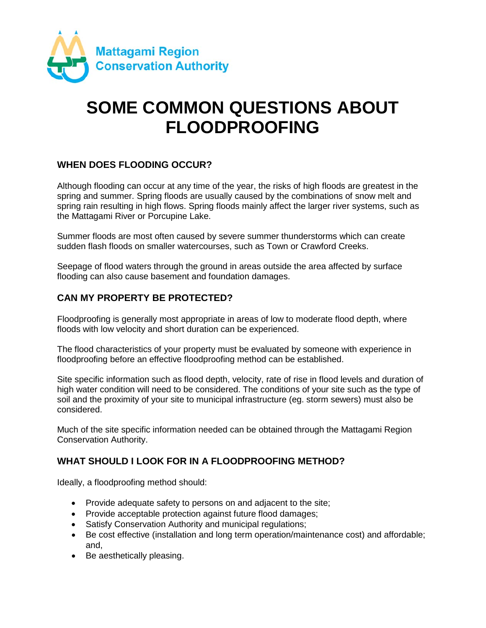

# **SOME COMMON QUESTIONS ABOUT FLOODPROOFING**

#### **WHEN DOES FLOODING OCCUR?**

Although flooding can occur at any time of the year, the risks of high floods are greatest in the spring and summer. Spring floods are usually caused by the combinations of snow melt and spring rain resulting in high flows. Spring floods mainly affect the larger river systems, such as the Mattagami River or Porcupine Lake.

Summer floods are most often caused by severe summer thunderstorms which can create sudden flash floods on smaller watercourses, such as Town or Crawford Creeks.

Seepage of flood waters through the ground in areas outside the area affected by surface flooding can also cause basement and foundation damages.

#### **CAN MY PROPERTY BE PROTECTED?**

Floodproofing is generally most appropriate in areas of low to moderate flood depth, where floods with low velocity and short duration can be experienced.

The flood characteristics of your property must be evaluated by someone with experience in floodproofing before an effective floodproofing method can be established.

Site specific information such as flood depth, velocity, rate of rise in flood levels and duration of high water condition will need to be considered. The conditions of your site such as the type of soil and the proximity of your site to municipal infrastructure (eg. storm sewers) must also be considered.

Much of the site specific information needed can be obtained through the Mattagami Region Conservation Authority.

#### **WHAT SHOULD I LOOK FOR IN A FLOODPROOFING METHOD?**

Ideally, a floodproofing method should:

- Provide adequate safety to persons on and adjacent to the site;
- Provide acceptable protection against future flood damages;
- Satisfy Conservation Authority and municipal regulations;
- Be cost effective (installation and long term operation/maintenance cost) and affordable; and,
- Be aesthetically pleasing.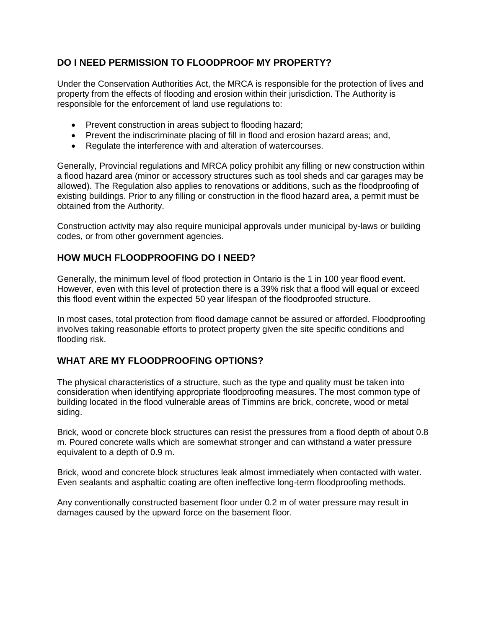### **DO I NEED PERMISSION TO FLOODPROOF MY PROPERTY?**

Under the Conservation Authorities Act, the MRCA is responsible for the protection of lives and property from the effects of flooding and erosion within their jurisdiction. The Authority is responsible for the enforcement of land use regulations to:

- Prevent construction in areas subject to flooding hazard;
- Prevent the indiscriminate placing of fill in flood and erosion hazard areas; and,
- Regulate the interference with and alteration of watercourses.

Generally, Provincial regulations and MRCA policy prohibit any filling or new construction within a flood hazard area (minor or accessory structures such as tool sheds and car garages may be allowed). The Regulation also applies to renovations or additions, such as the floodproofing of existing buildings. Prior to any filling or construction in the flood hazard area, a permit must be obtained from the Authority.

Construction activity may also require municipal approvals under municipal by-laws or building codes, or from other government agencies.

#### **HOW MUCH FLOODPROOFING DO I NEED?**

Generally, the minimum level of flood protection in Ontario is the 1 in 100 year flood event. However, even with this level of protection there is a 39% risk that a flood will equal or exceed this flood event within the expected 50 year lifespan of the floodproofed structure.

In most cases, total protection from flood damage cannot be assured or afforded. Floodproofing involves taking reasonable efforts to protect property given the site specific conditions and flooding risk.

#### **WHAT ARE MY FLOODPROOFING OPTIONS?**

The physical characteristics of a structure, such as the type and quality must be taken into consideration when identifying appropriate floodproofing measures. The most common type of building located in the flood vulnerable areas of Timmins are brick, concrete, wood or metal siding.

Brick, wood or concrete block structures can resist the pressures from a flood depth of about 0.8 m. Poured concrete walls which are somewhat stronger and can withstand a water pressure equivalent to a depth of 0.9 m.

Brick, wood and concrete block structures leak almost immediately when contacted with water. Even sealants and asphaltic coating are often ineffective long-term floodproofing methods.

Any conventionally constructed basement floor under 0.2 m of water pressure may result in damages caused by the upward force on the basement floor.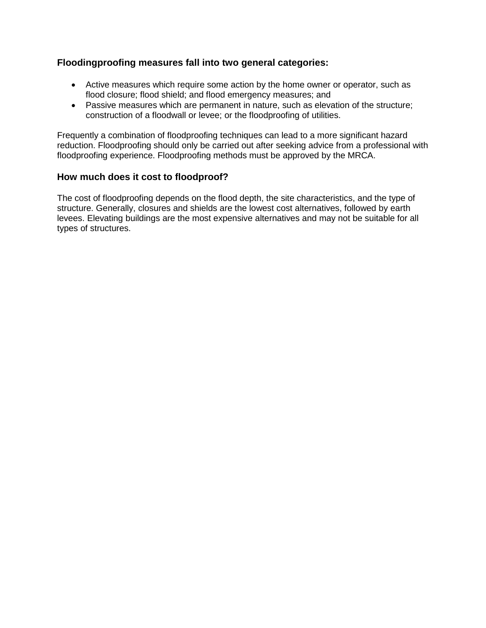#### **Floodingproofing measures fall into two general categories:**

- Active measures which require some action by the home owner or operator, such as flood closure; flood shield; and flood emergency measures; and
- Passive measures which are permanent in nature, such as elevation of the structure; construction of a floodwall or levee; or the floodproofing of utilities.

Frequently a combination of floodproofing techniques can lead to a more significant hazard reduction. Floodproofing should only be carried out after seeking advice from a professional with floodproofing experience. Floodproofing methods must be approved by the MRCA.

#### **How much does it cost to floodproof?**

The cost of floodproofing depends on the flood depth, the site characteristics, and the type of structure. Generally, closures and shields are the lowest cost alternatives, followed by earth levees. Elevating buildings are the most expensive alternatives and may not be suitable for all types of structures.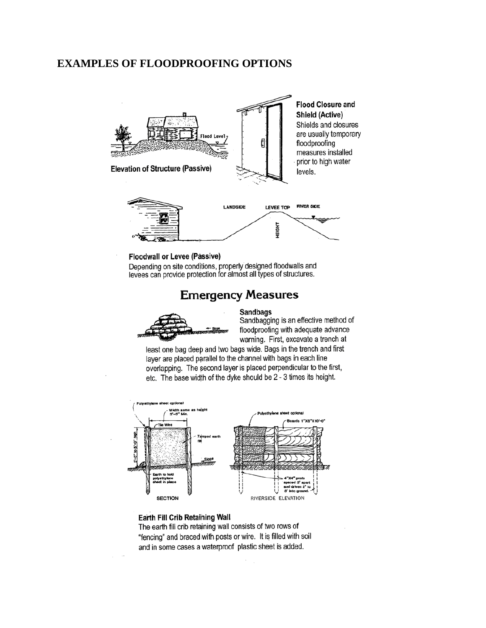#### **EXAMPLES OF FLOODPROOFING OPTIONS**



#### **Floodwall or Levee (Passive)**

Depending on site conditions, properly designed floodwalls and levees can provide protection for almost all types of structures.

## **Emergency Measures**





Sandbagging is an effective method of floodproofing with adequate advance warning. First, excavate a trench at

least one bag deep and two bags wide. Bags in the trench and first layer are placed parallel to the channel with bags in each line overlapping. The second layer is placed perpendicular to the first, etc. The base width of the dyke should be 2 - 3 times its height.



#### Earth Fill Crib Retaining Wall

The earth fill crib retaining wall consists of two rows of "fencing" and braced with posts or wire. It is filled with soil and in some cases a waterproof plastic sheet is added.